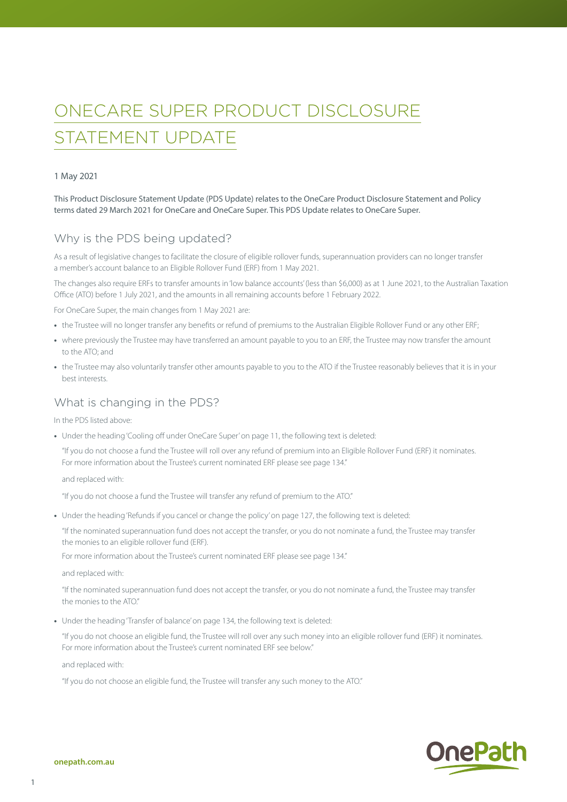# ONECARE SUPER PRODUCT DISCLOSURE STATEMENT UPDATE

#### 1 May 2021

This Product Disclosure Statement Update (PDS Update) relates to the OneCare Product Disclosure Statement and Policy terms dated 29 March 2021 for OneCare and OneCare Super. This PDS Update relates to OneCare Super.

#### Why is the PDS being updated?

As a result of legislative changes to facilitate the closure of eligible rollover funds, superannuation providers can no longer transfer a member's account balance to an Eligible Rollover Fund (ERF) from 1 May 2021.

The changes also require ERFs to transfer amounts in 'low balance accounts' (less than \$6,000) as at 1 June 2021, to the Australian Taxation Office (ATO) before 1 July 2021, and the amounts in all remaining accounts before 1 February 2022.

For OneCare Super, the main changes from 1 May 2021 are:

- **•** the Trustee will no longer transfer any benefits or refund of premiums to the Australian Eligible Rollover Fund or any other ERF;
- **•** where previously the Trustee may have transferred an amount payable to you to an ERF, the Trustee may now transfer the amount to the ATO; and
- the Trustee may also voluntarily transfer other amounts payable to you to the ATO if the Trustee reasonably believes that it is in your best interests.

#### What is changing in the PDS?

In the PDS listed above:

**•** Under the heading 'Cooling off under OneCare Super' on page 11, the following text is deleted:

"If you do not choose a fund the Trustee will roll over any refund of premium into an Eligible Rollover Fund (ERF) it nominates. For more information about the Trustee's current nominated ERF please see page 134."

and replaced with:

"If you do not choose a fund the Trustee will transfer any refund of premium to the ATO."

**•** Under the heading 'Refunds if you cancel or change the policy' on page 127, the following text is deleted:

"If the nominated superannuation fund does not accept the transfer, or you do not nominate a fund, the Trustee may transfer the monies to an eligible rollover fund (ERF).

For more information about the Trustee's current nominated ERF please see page 134."

and replaced with:

"If the nominated superannuation fund does not accept the transfer, or you do not nominate a fund, the Trustee may transfer the monies to the ATO."

**•** Under the heading 'Transfer of balance' on page 134, the following text is deleted:

"If you do not choose an eligible fund, the Trustee will roll over any such money into an eligible rollover fund (ERF) it nominates. For more information about the Trustee's current nominated ERF see below."

and replaced with:

"If you do not choose an eligible fund, the Trustee will transfer any such money to the ATO."